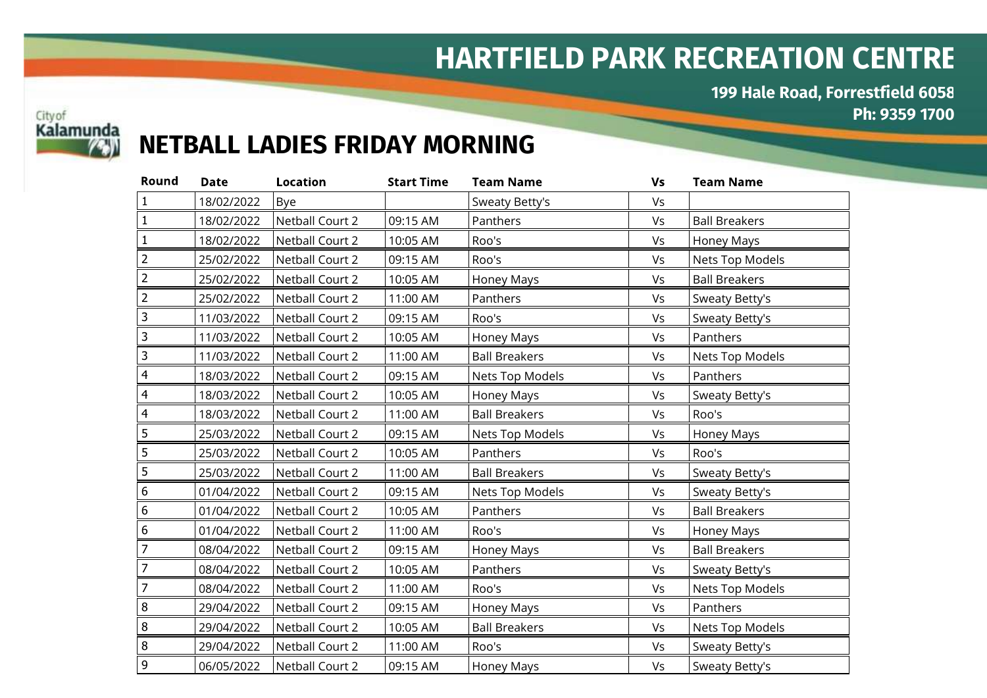## HARTFIELD PARK RECREATION CENTRE

199 Hale Road, Forrestfield 6058 Ph: 9359 1700



## NETBALL LADIES FRIDAY MORNING

| Round          | <b>Date</b> | <b>Location</b>        | <b>Start Time</b> | <b>Team Name</b>     | Vs | <b>Team Name</b>     |
|----------------|-------------|------------------------|-------------------|----------------------|----|----------------------|
| $\mathbf{1}$   | 18/02/2022  | Bye                    |                   | Sweaty Betty's       | Vs |                      |
| $\mathbf{1}$   | 18/02/2022  | Netball Court 2        | 09:15 AM          | Panthers             | Vs | <b>Ball Breakers</b> |
| $\mathbf{1}$   | 18/02/2022  | <b>Netball Court 2</b> | 10:05 AM          | Roo's                | Vs | Honey Mays           |
| 2              | 25/02/2022  | Netball Court 2        | 09:15 AM          | Roo's                | Vs | Nets Top Models      |
| $\overline{2}$ | 25/02/2022  | Netball Court 2        | 10:05 AM          | <b>Honey Mays</b>    | Vs | <b>Ball Breakers</b> |
| $\overline{2}$ | 25/02/2022  | Netball Court 2        | 11:00 AM          | Panthers             | Vs | Sweaty Betty's       |
| 3              | 11/03/2022  | Netball Court 2        | 09:15 AM          | Roo's                | Vs | Sweaty Betty's       |
| 3              | 11/03/2022  | Netball Court 2        | 10:05 AM          | Honey Mays           | Vs | Panthers             |
| 3              | 11/03/2022  | Netball Court 2        | 11:00 AM          | <b>Ball Breakers</b> | Vs | Nets Top Models      |
| $\overline{4}$ | 18/03/2022  | Netball Court 2        | 09:15 AM          | Nets Top Models      | Vs | Panthers             |
| 4              | 18/03/2022  | Netball Court 2        | 10:05 AM          | Honey Mays           | Vs | Sweaty Betty's       |
| 4              | 18/03/2022  | Netball Court 2        | 11:00 AM          | <b>Ball Breakers</b> | Vs | Roo's                |
| 5              | 25/03/2022  | Netball Court 2        | 09:15 AM          | Nets Top Models      | Vs | Honey Mays           |
| 5              | 25/03/2022  | Netball Court 2        | 10:05 AM          | Panthers             | Vs | Roo's                |
| 5              | 25/03/2022  | Netball Court 2        | 11:00 AM          | <b>Ball Breakers</b> | Vs | Sweaty Betty's       |
| 6              | 01/04/2022  | Netball Court 2        | 09:15 AM          | Nets Top Models      | Vs | Sweaty Betty's       |
| 6              | 01/04/2022  | Netball Court 2        | 10:05 AM          | Panthers             | Vs | <b>Ball Breakers</b> |
| 6              | 01/04/2022  | Netball Court 2        | 11:00 AM          | Roo's                | Vs | Honey Mays           |
| $\overline{7}$ | 08/04/2022  | Netball Court 2        | 09:15 AM          | Honey Mays           | Vs | <b>Ball Breakers</b> |
| $\overline{7}$ | 08/04/2022  | Netball Court 2        | 10:05 AM          | Panthers             | Vs | Sweaty Betty's       |
| $\overline{7}$ | 08/04/2022  | Netball Court 2        | 11:00 AM          | Roo's                | Vs | Nets Top Models      |
| $\bf 8$        | 29/04/2022  | Netball Court 2        | 09:15 AM          | Honey Mays           | Vs | Panthers             |
| 8              | 29/04/2022  | Netball Court 2        | 10:05 AM          | <b>Ball Breakers</b> | Vs | Nets Top Models      |
| 8              | 29/04/2022  | Netball Court 2        | 11:00 AM          | Roo's                | Vs | Sweaty Betty's       |
| $\mathsf 9$    | 06/05/2022  | Netball Court 2        | 09:15 AM          | <b>Honey Mays</b>    | Vs | Sweaty Betty's       |